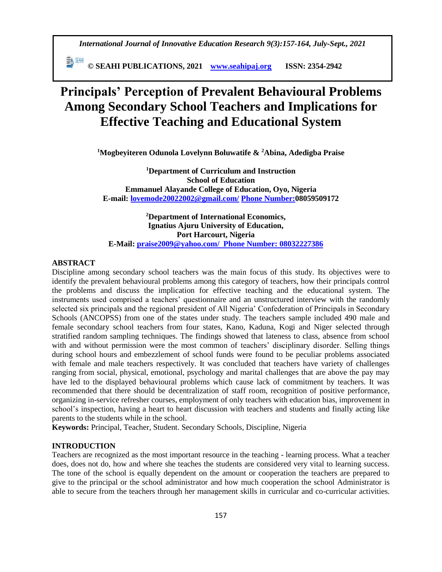*International Journal of Innovative Education Research 9(3):157-164, July-Sept., 2021*

 **© SEAHI PUBLICATIONS, 2021 [www.seahipaj.org](http://www.seahipaj.org/) ISSN: 2354-2942**

# **Principals' Perception of Prevalent Behavioural Problems Among Secondary School Teachers and Implications for Effective Teaching and Educational System**

**<sup>1</sup>Mogbeyiteren Odunola Lovelynn Boluwatife & <sup>2</sup>Abina, Adedigba Praise**

**<sup>1</sup>Department of Curriculum and Instruction School of Education Emmanuel Alayande College of Education, Oyo, Nigeria E-mail: [lovemode20022002@gmail.com/](mailto:lovemode20022002@gmail.com) Phone Number:08059509172**

**<sup>2</sup>Department of International Economics, Ignatius Ajuru University of Education, Port Harcourt, Nigeria E-Mail: [praise2009@yahoo.com/](mailto:praise2009@yahoo.com) Phone Number: 08032227386**

## **ABSTRACT**

Discipline among secondary school teachers was the main focus of this study. Its objectives were to identify the prevalent behavioural problems among this category of teachers, how their principals control the problems and discuss the implication for effective teaching and the educational system. The instruments used comprised a teachers' questionnaire and an unstructured interview with the randomly selected six principals and the regional president of All Nigeria' Confederation of Principals in Secondary Schools (ANCOPSS) from one of the states under study. The teachers sample included 490 male and female secondary school teachers from four states, Kano, Kaduna, Kogi and Niger selected through stratified random sampling techniques. The findings showed that lateness to class, absence from school with and without permission were the most common of teachers' disciplinary disorder. Selling things during school hours and embezzlement of school funds were found to be peculiar problems associated with female and male teachers respectively. It was concluded that teachers have variety of challenges ranging from social, physical, emotional, psychology and marital challenges that are above the pay may have led to the displayed behavioural problems which cause lack of commitment by teachers. It was recommended that there should be decentralization of staff room, recognition of positive performance, organizing in-service refresher courses, employment of only teachers with education bias, improvement in school's inspection, having a heart to heart discussion with teachers and students and finally acting like parents to the students while in the school.

**Keywords:** Principal, Teacher, Student. Secondary Schools, Discipline, Nigeria

## **INTRODUCTION**

Teachers are recognized as the most important resource in the teaching - learning process. What a teacher does, does not do, how and where she teaches the students are considered very vital to learning success. The tone of the school is equally dependent on the amount or cooperation the teachers are prepared to give to the principal or the school administrator and how much cooperation the school Administrator is able to secure from the teachers through her management skills in curricular and co-curricular activities.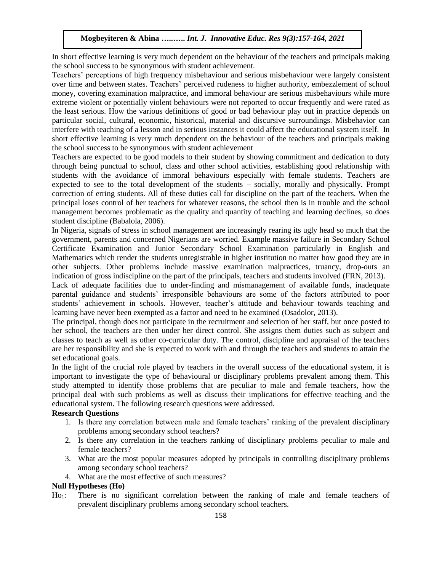In short effective learning is very much dependent on the behaviour of the teachers and principals making the school success to be synonymous with student achievement.

Teachers' perceptions of high frequency misbehaviour and serious misbehaviour were largely consistent over time and between states. Teachers' perceived rudeness to higher authority, embezzlement of school money, covering examination malpractice, and immoral behaviour are serious misbehaviours while more extreme violent or potentially violent behaviours were not reported to occur frequently and were rated as the least serious. How the various definitions of good or bad behaviour play out in practice depends on particular social, cultural, economic, historical, material and discursive surroundings. Misbehavior can interfere with teaching of a lesson and in serious instances it could affect the educational system itself. In short effective learning is very much dependent on the behaviour of the teachers and principals making the school success to be synonymous with student achievement

Teachers are expected to be good models to their student by showing commitment and dedication to duty through being punctual to school, class and other school activities, establishing good relationship with students with the avoidance of immoral behaviours especially with female students. Teachers are expected to see to the total development of the students – socially, morally and physically. Prompt correction of erring students. All of these duties call for discipline on the part of the teachers. When the principal loses control of her teachers for whatever reasons, the school then is in trouble and the school management becomes problematic as the quality and quantity of teaching and learning declines, so does student discipline (Babalola, 2006).

In Nigeria, signals of stress in school management are increasingly rearing its ugly head so much that the government, parents and concerned Nigerians are worried. Example massive failure in Secondary School Certificate Examination and Junior Secondary School Examination particularly in English and Mathematics which render the students unregistrable in higher institution no matter how good they are in other subjects. Other problems include massive examination malpractices, truancy, drop-outs an indication of gross indiscipline on the part of the principals, teachers and students involved (FRN, 2013).

Lack of adequate facilities due to under-finding and mismanagement of available funds, inadequate parental guidance and students' irresponsible behaviours are some of the factors attributed to poor students' achievement in schools. However, teacher's attitude and behaviour towards teaching and learning have never been exempted as a factor and need to be examined (Osadolor, 2013).

The principal, though does not participate in the recruitment and selection of her staff, but once posted to her school, the teachers are then under her direct control. She assigns them duties such as subject and classes to teach as well as other co-curricular duty. The control, discipline and appraisal of the teachers are her responsibility and she is expected to work with and through the teachers and students to attain the set educational goals.

In the light of the crucial role played by teachers in the overall success of the educational system, it is important to investigate the type of behavioural or disciplinary problems prevalent among them. This study attempted to identify those problems that are peculiar to male and female teachers, how the principal deal with such problems as well as discuss their implications for effective teaching and the educational system. The following research questions were addressed.

# **Research Questions**

- 1. Is there any correlation between male and female teachers' ranking of the prevalent disciplinary problems among secondary school teachers?
- 2. Is there any correlation in the teachers ranking of disciplinary problems peculiar to male and female teachers?
- 3. What are the most popular measures adopted by principals in controlling disciplinary problems among secondary school teachers?
- 4. What are the most effective of such measures?

# **Null Hypotheses (Ho)**

Ho1: There is no significant correlation between the ranking of male and female teachers of prevalent disciplinary problems among secondary school teachers.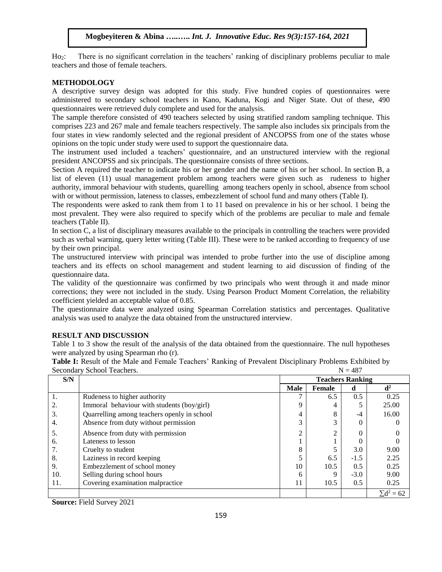Ho<sub>2</sub>: There is no significant correlation in the teachers' ranking of disciplinary problems peculiar to male teachers and those of female teachers.

#### **METHODOLOGY**

A descriptive survey design was adopted for this study. Five hundred copies of questionnaires were administered to secondary school teachers in Kano, Kaduna, Kogi and Niger State. Out of these, 490 questionnaires were retrieved duly complete and used for the analysis.

The sample therefore consisted of 490 teachers selected by using stratified random sampling technique. This comprises 223 and 267 male and female teachers respectively. The sample also includes six principals from the four states in view randomly selected and the regional president of ANCOPSS from one of the states whose opinions on the topic under study were used to support the questionnaire data.

The instrument used included a teachers' questionnaire, and an unstructured interview with the regional president ANCOPSS and six principals. The questionnaire consists of three sections.

Section A required the teacher to indicate his or her gender and the name of his or her school. In section B, a list of eleven (11) usual management problem among teachers were given such as rudeness to higher authority, immoral behaviour with students, quarelling among teachers openly in school, absence from school with or without permission, lateness to classes, embezzlement of school fund and many others (Table I).

The respondents were asked to rank them from 1 to 11 based on prevalence in his or her school. 1 being the most prevalent. They were also required to specify which of the problems are peculiar to male and female teachers (Table II).

In section C, a list of disciplinary measures available to the principals in controlling the teachers were provided such as verbal warning, query letter writing (Table III). These were to be ranked according to frequency of use by their own principal.

The unstructured interview with principal was intended to probe further into the use of discipline among teachers and its effects on school management and student learning to aid discussion of finding of the questionnaire data.

The validity of the questionnaire was confirmed by two principals who went through it and made minor corrections; they were not included in the study. Using Pearson Product Moment Correlation, the reliability coefficient yielded an acceptable value of 0.85.

The questionnaire data were analyzed using Spearman Correlation statistics and percentages. Qualitative analysis was used to analyze the data obtained from the unstructured interview.

## **RESULT AND DISCUSSION**

Table 1 to 3 show the result of the analysis of the data obtained from the questionnaire. The null hypotheses were analyzed by using Spearman rho (r).

| occonuur v | Denoor reachers.<br>$11 - TQ$               |                         |        |        |                   |  |
|------------|---------------------------------------------|-------------------------|--------|--------|-------------------|--|
| S/N        |                                             | <b>Teachers Ranking</b> |        |        |                   |  |
|            |                                             | <b>Male</b>             | Female | d      | $\mathbf{d}^2$    |  |
| 1.         | Rudeness to higher authority                |                         | 6.5    | 0.5    | 0.25              |  |
|            | Immoral behaviour with students (boy/girl)  | 9                       |        |        | 25.00             |  |
| 3.         | Quarrelling among teachers openly in school | 4                       | 8      | -4     | 16.00             |  |
| 4.         | Absence from duty without permission        | 3                       |        |        |                   |  |
| 5.         | Absence from duty with permission           | $\overline{c}$          |        |        |                   |  |
| 6.         | Lateness to lesson                          |                         |        |        |                   |  |
| 7.         | Cruelty to student                          | 8                       |        | 3.0    | 9.00              |  |
| 8.         | Laziness in record keeping                  | 5                       | 6.5    | $-1.5$ | 2.25              |  |
| 9.         | Embezzlement of school money                | 10                      | 10.5   | 0.5    | 0.25              |  |
| 10.        | Selling during school hours                 | 6                       |        | $-3.0$ | 9.00              |  |
| 11.        | Covering examination malpractice            | 11                      | 10.5   | 0.5    | 0.25              |  |
|            |                                             |                         |        |        | $\Sigma d^2 = 62$ |  |

**Table I:** Result of the Male and Female Teachers' Ranking of Prevalent Disciplinary Problems Exhibited by  $S$ econdary School Teachers.  $N = 487$ 

**Source:** Field Survey 2021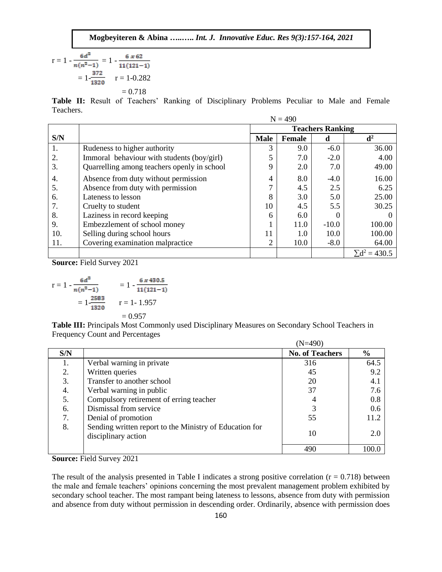$$
r = 1 - \frac{6d^2}{n(n^2 - 1)} = 1 - \frac{6 \times 62}{11(121 - 1)}
$$

$$
= 1 - \frac{372}{1320} \qquad r = 1 - 0.282
$$

$$
= 0.718
$$

**Table II:** Result of Teachers' Ranking of Disciplinary Problems Peculiar to Male and Female Teachers.

|     |                                             |             | $N = 490$               |         |                      |  |
|-----|---------------------------------------------|-------------|-------------------------|---------|----------------------|--|
|     |                                             |             | <b>Teachers Ranking</b> |         |                      |  |
| S/N |                                             | <b>Male</b> | Female                  | d       | $\mathbf{d}^2$       |  |
| 1.  | Rudeness to higher authority                | 3           | 9.0                     | $-6.0$  | 36.00                |  |
| 2.  | Immoral behaviour with students (boy/girl)  | 5           | 7.0                     | $-2.0$  | 4.00                 |  |
| 3.  | Quarrelling among teachers openly in school | 9           | 2.0                     | 7.0     | 49.00                |  |
| 4.  | Absence from duty without permission        | 4           | 8.0                     | $-4.0$  | 16.00                |  |
| 5.  | Absence from duty with permission           | ⇁           | 4.5                     | 2.5     | 6.25                 |  |
| 6.  | Lateness to lesson                          | 8           | 3.0                     | 5.0     | 25.00                |  |
| 7.  | Cruelty to student                          | 10          | 4.5                     | 5.5     | 30.25                |  |
| 8.  | Laziness in record keeping                  | 6           | 6.0                     | 0       | $\theta$             |  |
| 9.  | Embezzlement of school money                |             | 11.0                    | $-10.0$ | 100.00               |  |
| 10. | Selling during school hours                 | 11          | 1.0                     | 10.0    | 100.00               |  |
| 11. | Covering examination malpractice            | 2           | 10.0                    | $-8.0$  | 64.00                |  |
|     |                                             |             |                         |         | $\Sigma d^2 = 430.5$ |  |

**Source:** Field Survey 2021

$$
r = 1 - \frac{6a^2}{n(n^2 - 1)} = 1 - \frac{6 \times 430.5}{11(121 - 1)}
$$
  
=  $1 - \frac{2583}{1320}$   $r = 1 - 1.957$   
= 0.957

**Table III:** Principals Most Commonly used Disciplinary Measures on Secondary School Teachers in Frequency Count and Percentages

|     |                                                                                | $(N=490)$              |               |  |  |
|-----|--------------------------------------------------------------------------------|------------------------|---------------|--|--|
| S/N |                                                                                | <b>No. of Teachers</b> | $\frac{0}{0}$ |  |  |
|     | Verbal warning in private                                                      | 316                    | 64.5          |  |  |
| 2.  | Written queries                                                                | 45                     | 9.2           |  |  |
| 3.  | Transfer to another school                                                     | 20                     | 4.1           |  |  |
| 4.  | Verbal warning in public                                                       | 37                     | 7.6           |  |  |
| 5.  | Compulsory retirement of erring teacher                                        |                        | 0.8           |  |  |
| 6.  | Dismissal from service                                                         |                        | 0.6           |  |  |
| 7.  | Denial of promotion                                                            | 55                     | 11.2          |  |  |
| 8.  | Sending written report to the Ministry of Education for<br>disciplinary action | 10                     | 2.0           |  |  |
|     |                                                                                | 490                    | 100.0         |  |  |

**Source:** Field Survey 2021

The result of the analysis presented in Table I indicates a strong positive correlation  $(r = 0.718)$  between the male and female teachers' opinions concerning the most prevalent management problem exhibited by secondary school teacher. The most rampant being lateness to lessons, absence from duty with permission and absence from duty without permission in descending order. Ordinarily, absence with permission does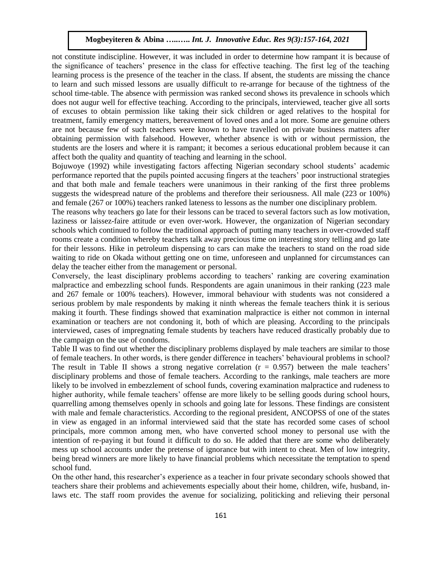not constitute indiscipline. However, it was included in order to determine how rampant it is because of the significance of teachers' presence in the class for effective teaching. The first leg of the teaching learning process is the presence of the teacher in the class. If absent, the students are missing the chance to learn and such missed lessons are usually difficult to re-arrange for because of the tightness of the school time-table. The absence with permission was ranked second shows its prevalence in schools which does not augur well for effective teaching. According to the principals, interviewed, teacher give all sorts of excuses to obtain permission like taking their sick children or aged relatives to the hospital for treatment, family emergency matters, bereavement of loved ones and a lot more. Some are genuine others are not because few of such teachers were known to have travelled on private business matters after obtaining permission with falsehood. However, whether absence is with or without permission, the students are the losers and where it is rampant; it becomes a serious educational problem because it can affect both the quality and quantity of teaching and learning in the school.

Bojuwoye (1992) while investigating factors affecting Nigerian secondary school students' academic performance reported that the pupils pointed accusing fingers at the teachers' poor instructional strategies and that both male and female teachers were unanimous in their ranking of the first three problems suggests the widespread nature of the problems and therefore their seriousness. All male (223 or 100%) and female (267 or 100%) teachers ranked lateness to lessons as the number one disciplinary problem.

The reasons why teachers go late for their lessons can be traced to several factors such as low motivation, laziness or laissez-faire attitude or even over-work. However, the organization of Nigerian secondary schools which continued to follow the traditional approach of putting many teachers in over-crowded staff rooms create a condition whereby teachers talk away precious time on interesting story telling and go late for their lessons. Hike in petroleum dispensing to cars can make the teachers to stand on the road side waiting to ride on Okada without getting one on time, unforeseen and unplanned for circumstances can delay the teacher either from the management or personal.

Conversely, the least disciplinary problems according to teachers' ranking are covering examination malpractice and embezzling school funds. Respondents are again unanimous in their ranking (223 male and 267 female or 100% teachers). However, immoral behaviour with students was not considered a serious problem by male respondents by making it ninth whereas the female teachers think it is serious making it fourth. These findings showed that examination malpractice is either not common in internal examination or teachers are not condoning it, both of which are pleasing. According to the principals interviewed, cases of impregnating female students by teachers have reduced drastically probably due to the campaign on the use of condoms.

Table II was to find out whether the disciplinary problems displayed by male teachers are similar to those of female teachers. In other words, is there gender difference in teachers' behavioural problems in school? The result in Table II shows a strong negative correlation  $(r = 0.957)$  between the male teachers' disciplinary problems and those of female teachers. According to the rankings, male teachers are more likely to be involved in embezzlement of school funds, covering examination malpractice and rudeness to higher authority, while female teachers' offense are more likely to be selling goods during school hours, quarrelling among themselves openly in schools and going late for lessons. These findings are consistent with male and female characteristics. According to the regional president, ANCOPSS of one of the states in view as engaged in an informal interviewed said that the state has recorded some cases of school principals, more common among men, who have converted school money to personal use with the intention of re-paying it but found it difficult to do so. He added that there are some who deliberately mess up school accounts under the pretense of ignorance but with intent to cheat. Men of low integrity, being bread winners are more likely to have financial problems which necessitate the temptation to spend school fund.

On the other hand, this researcher's experience as a teacher in four private secondary schools showed that teachers share their problems and achievements especially about their home, children, wife, husband, inlaws etc. The staff room provides the avenue for socializing, politicking and relieving their personal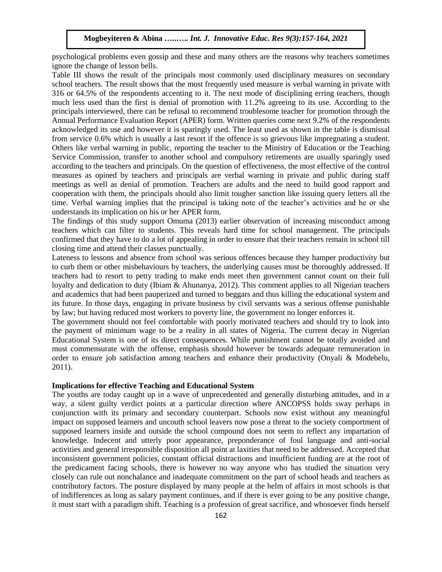psychological problems even gossip and these and many others are the reasons why teachers sometimes ignore the change of lesson bells.

Table III shows the result of the principals most commonly used disciplinary measures on secondary school teachers. The result shows that the most frequently used measure is verbal warning in private with 316 or 64.5% of the respondents accenting to it. The next mode of disciplining erring teachers, though much less used than the first is denial of promotion with 11.2% agreeing to its use. According to the principals interviewed, there can be refusal to recommend troublesome teacher for promotion through the Annual Performance Evaluation Report (APER) form. Written queries come next 9.2% of the respondents acknowledged its use and however it is sparingly used. The least used as shown in the table is dismissal from service 0.6% which is usually a last resort if the offence is so grievous like impregnating a student. Others like verbal warning in public, reporting the teacher to the Ministry of Education or the Teaching Service Commission, transfer to another school and compulsory retirements are usually sparingly used according to the teachers and principals. On the question of effectiveness, the most effective of the control measures as opined by teachers and principals are verbal warning in private and public during staff meetings as well as denial of promotion. Teachers are adults and the need to build good rapport and cooperation with them, the principals should also limit tougher sanction like issuing query letters all the time. Verbal warning implies that the principal is taking note of the teacher's activities and he or she understands its implication on his or her APER form.

The findings of this study support Omuma (2013) earlier observation of increasing misconduct among teachers which can filter to students. This reveals hard time for school management. The principals confirmed that they have to do a lot of appealing in order to ensure that their teachers remain in school till closing time and attend their classes punctually.

Lateness to lessons and absence from school was serious offences because they hamper productivity but to curb them or other misbehaviours by teachers, the underlying causes must be thoroughly addressed. If teachers had to resort to petty trading to make ends meet then government cannot count on their full loyalty and dedication to duty (Ibiam & Ahunanya, 2012). This comment applies to all Nigerian teachers and academics that had been pauperized and turned to beggars and thus killing the educational system and its future. In those days, engaging in private business by civil servants was a serious offense punishable by law; but having reduced most workers to poverty line, the government no longer enforces it.

The government should not feel comfortable with poorly motivated teachers and should try to look into the payment of minimum wage to be a reality in all states of Nigeria. The current decay in Nigerian Educational System is one of its direct consequences. While punishment cannot be totally avoided and must commensurate with the offense, emphasis should however be towards adequate remuneration in order to ensure job satisfaction among teachers and enhance their productivity (Onyali & Modebelu, 2011).

## **Implications for effective Teaching and Educational System**

The youths are today caught up in a wave of unprecedented and generally disturbing attitudes, and in a way, a silent guilty verdict points at a particular direction where ANCOPSS holds sway perhaps in conjunction with its primary and secondary counterpart. Schools now exist without any meaningful impact on supposed learners and uncouth school leavers now pose a threat to the society comportment of supposed learners inside and outside the school compound does not seem to reflect any impartation of knowledge. Indecent and utterly poor appearance, preponderance of foul language and anti-social activities and general irresponsible disposition all point at laxities that need to be addressed. Accepted that inconsistent government policies, constant official distractions and insufficient funding are at the root of the predicament facing schools, there is however no way anyone who has studied the situation very closely can rule out nonchalance and inadequate commitment on the part of school heads and teachers as contributory factors. The posture displayed by many people at the helm of affairs in most schools is that of indifferences as long as salary payment continues, and if there is ever going to be any positive change, it must start with a paradigm shift. Teaching is a profession of great sacrifice, and whosoever finds herself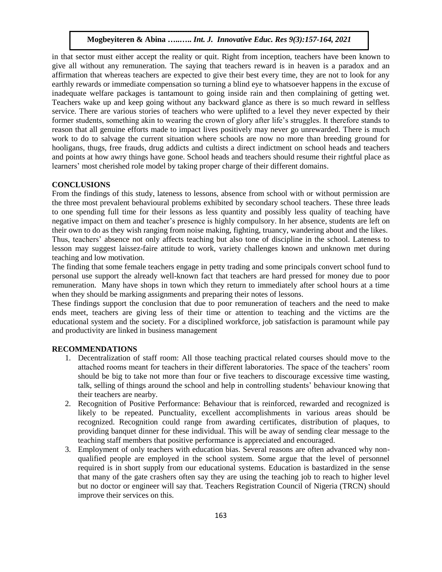in that sector must either accept the reality or quit. Right from inception, teachers have been known to give all without any remuneration. The saying that teachers reward is in heaven is a paradox and an affirmation that whereas teachers are expected to give their best every time, they are not to look for any earthly rewards or immediate compensation so turning a blind eye to whatsoever happens in the excuse of inadequate welfare packages is tantamount to going inside rain and then complaining of getting wet. Teachers wake up and keep going without any backward glance as there is so much reward in selfless service. There are various stories of teachers who were uplifted to a level they never expected by their former students, something akin to wearing the crown of glory after life's struggles. It therefore stands to reason that all genuine efforts made to impact lives positively may never go unrewarded. There is much work to do to salvage the current situation where schools are now no more than breeding ground for hooligans, thugs, free frauds, drug addicts and cultists a direct indictment on school heads and teachers and points at how awry things have gone. School heads and teachers should resume their rightful place as learners' most cherished role model by taking proper charge of their different domains.

#### **CONCLUSIONS**

From the findings of this study, lateness to lessons, absence from school with or without permission are the three most prevalent behavioural problems exhibited by secondary school teachers. These three leads to one spending full time for their lessons as less quantity and possibly less quality of teaching have negative impact on them and teacher's presence is highly compulsory. In her absence, students are left on their own to do as they wish ranging from noise making, fighting, truancy, wandering about and the likes. Thus, teachers' absence not only affects teaching but also tone of discipline in the school. Lateness to lesson may suggest laissez-faire attitude to work, variety challenges known and unknown met during teaching and low motivation.

The finding that some female teachers engage in petty trading and some principals convert school fund to personal use support the already well-known fact that teachers are hard pressed for money due to poor remuneration. Many have shops in town which they return to immediately after school hours at a time when they should be marking assignments and preparing their notes of lessons.

These findings support the conclusion that due to poor remuneration of teachers and the need to make ends meet, teachers are giving less of their time or attention to teaching and the victims are the educational system and the society. For a disciplined workforce, job satisfaction is paramount while pay and productivity are linked in business management

## **RECOMMENDATIONS**

- 1. Decentralization of staff room: All those teaching practical related courses should move to the attached rooms meant for teachers in their different laboratories. The space of the teachers' room should be big to take not more than four or five teachers to discourage excessive time wasting, talk, selling of things around the school and help in controlling students' behaviour knowing that their teachers are nearby.
- 2. Recognition of Positive Performance: Behaviour that is reinforced, rewarded and recognized is likely to be repeated. Punctuality, excellent accomplishments in various areas should be recognized. Recognition could range from awarding certificates, distribution of plaques, to providing banquet dinner for these individual. This will be away of sending clear message to the teaching staff members that positive performance is appreciated and encouraged.
- 3. Employment of only teachers with education bias. Several reasons are often advanced why nonqualified people are employed in the school system. Some argue that the level of personnel required is in short supply from our educational systems. Education is bastardized in the sense that many of the gate crashers often say they are using the teaching job to reach to higher level but no doctor or engineer will say that. Teachers Registration Council of Nigeria (TRCN) should improve their services on this.